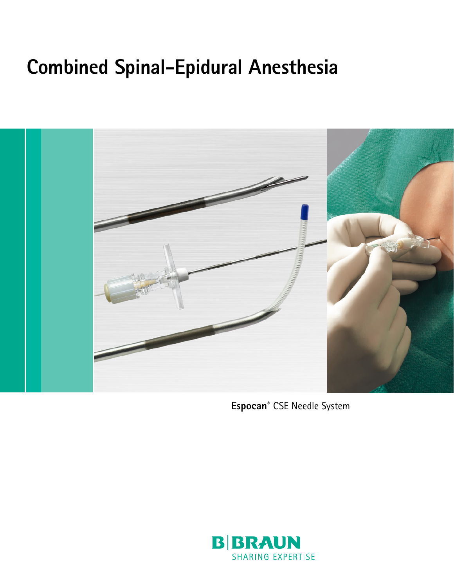### **Combined Spinal-Epidural Anesthesia**



**Espocan®** CSE Needle System

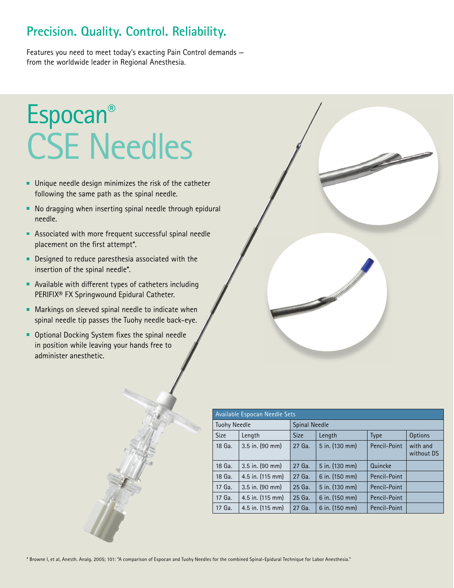#### **Precision. Quality. Control. Reliability.**

Features you need to meet today's exacting Pain Control demands from the worldwide leader in Regional Anesthesia.

## Espocan® CSE Needles

- **Unique needle design minimizes the risk of the catheter** following the same path as the spinal needle.
- No dragging when inserting spinal needle through epidural needle.
- Associated with more frequent successful spinal needle placement on the first attempt\*.
- Designed to reduce paresthesia associated with the insertion of the spinal needle\*.
- Available with different types of catheters including PERIFIX® FX Springwound Epidural Catheter.
- **Markings on sleeved spinal needle to indicate when** spinal needle tip passes the Tuohy needle back-eye.
- Optional Docking System fixes the spinal needle in position while leaving your hands free to administer anesthetic.



| Available Espocan Needle Sets |                             |               |                |              |                        |
|-------------------------------|-----------------------------|---------------|----------------|--------------|------------------------|
| <b>Tuohy Needle</b>           |                             | Spinal Needle |                |              |                        |
| <b>Size</b>                   | Length                      | <b>Size</b>   | Length         | <b>Type</b>  | <b>Options</b>         |
| 18 Ga.                        | $3.5$ in. (90 mm)           | 27 Ga.        | 5 in. (130 mm) | Pencil-Point | with and<br>without DS |
| 18 Ga.                        | $3.5$ in. (90 mm)           | 27 Ga.        | 5 in. (130 mm) | Quincke      |                        |
| 18 Ga.                        | 4.5 in. (115 mm)            | 27 Ga.        | 6 in. (150 mm) | Pencil-Point |                        |
| 17 Ga.                        | $3.5$ in. $(90 \text{ mm})$ | 25 Ga.        | 5 in. (130 mm) | Pencil-Point |                        |
| 17 Ga.                        | 4.5 in. (115 mm)            | 25 Ga.        | 6 in. (150 mm) | Pencil-Point |                        |
| 17 Ga.                        | 4.5 in. (115 mm)            | 27 Ga.        | 6 in. (150 mm) | Pencil-Point |                        |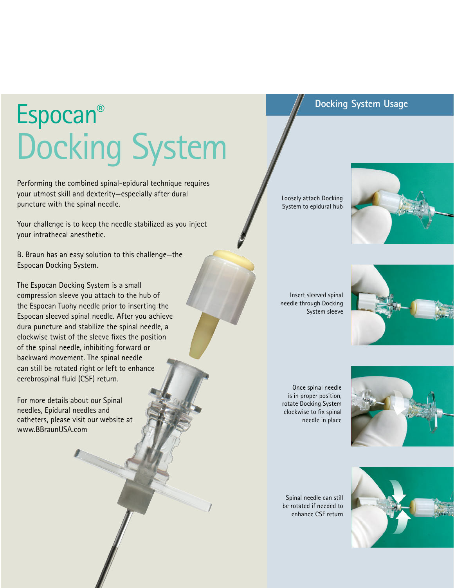# Espocan® Docking System

Performing the combined spinal-epidural technique requires your utmost skill and dexterity—especially after dural puncture with the spinal needle.

Your challenge is to keep the needle stabilized as you inject your intrathecal anesthetic.

B. Braun has an easy solution to this challenge—the Espocan Docking System.

The Espocan Docking System is a small compression sleeve you attach to the hub of the Espocan Tuohy needle prior to inserting the Espocan sleeved spinal needle. After you achieve dura puncture and stabilize the spinal needle, a clockwise twist of the sleeve fixes the position of the spinal needle, inhibiting forward or backward movement. The spinal needle can still be rotated right or left to enhance cerebrospinal fluid (CSF) return.

For more details about our Spinal needles, Epidural needles and catheters, please visit our website at www.BBraunUSA.com

Loosely attach Docking System to epidural hub



**Docking System Usage**

Insert sleeved spinal needle through Docking System sleeve



Once spinal needle is in proper position, rotate Docking System clockwise to fix spinal needle in place



Spinal needle can still be rotated if needed to enhance CSF return